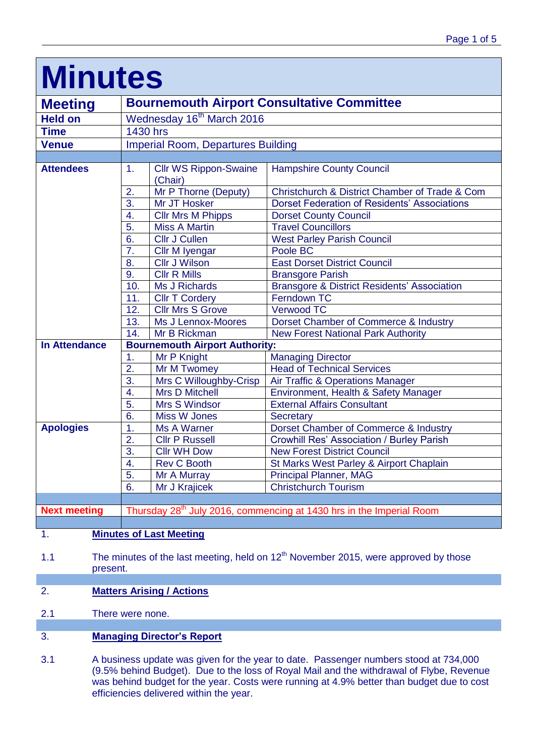| <b>Minutes</b>       |                                                                                  |                                         |                                                        |
|----------------------|----------------------------------------------------------------------------------|-----------------------------------------|--------------------------------------------------------|
| <b>Meeting</b>       | <b>Bournemouth Airport Consultative Committee</b>                                |                                         |                                                        |
| <b>Held on</b>       | Wednesday 16 <sup>th</sup> March 2016                                            |                                         |                                                        |
| <b>Time</b>          | 1430 hrs                                                                         |                                         |                                                        |
| <b>Venue</b>         | <b>Imperial Room, Departures Building</b>                                        |                                         |                                                        |
|                      |                                                                                  |                                         |                                                        |
| <b>Attendees</b>     | $\mathbf{1}$ .                                                                   | <b>Cllr WS Rippon-Swaine</b><br>(Chair) | <b>Hampshire County Council</b>                        |
|                      | 2.                                                                               | Mr P Thorne (Deputy)                    | Christchurch & District Chamber of Trade & Com         |
|                      | 3.                                                                               | Mr JT Hosker                            | <b>Dorset Federation of Residents' Associations</b>    |
|                      | 4.                                                                               | <b>Cllr Mrs M Phipps</b>                | <b>Dorset County Council</b>                           |
|                      | 5.                                                                               | <b>Miss A Martin</b>                    | <b>Travel Councillors</b>                              |
|                      | 6.                                                                               | <b>Cllr J Cullen</b>                    | <b>West Parley Parish Council</b>                      |
|                      | 7.                                                                               | Cllr M Iyengar                          | Poole BC                                               |
|                      | 8.                                                                               | <b>Cllr J Wilson</b>                    | <b>East Dorset District Council</b>                    |
|                      | 9.                                                                               | <b>Cllr R Mills</b>                     | <b>Bransgore Parish</b>                                |
|                      | 10.                                                                              | <b>Ms J Richards</b>                    | <b>Bransgore &amp; District Residents' Association</b> |
|                      | 11.                                                                              | <b>Cllr T Cordery</b>                   | Ferndown TC                                            |
|                      | 12.                                                                              | <b>Cllr Mrs S Grove</b>                 | <b>Verwood TC</b>                                      |
|                      | 13.                                                                              | Ms J Lennox-Moores                      | Dorset Chamber of Commerce & Industry                  |
|                      | 14.                                                                              | Mr B Rickman                            | <b>New Forest National Park Authority</b>              |
| <b>In Attendance</b> | <b>Bournemouth Airport Authority:</b>                                            |                                         |                                                        |
|                      | 1.                                                                               | Mr P Knight                             | <b>Managing Director</b>                               |
|                      | $\overline{2}$ .                                                                 | Mr M Twomey                             | <b>Head of Technical Services</b>                      |
|                      | 3.                                                                               | Mrs C Willoughby-Crisp                  | Air Traffic & Operations Manager                       |
|                      | $\overline{4}$ .                                                                 | <b>Mrs D Mitchell</b>                   | Environment, Health & Safety Manager                   |
|                      | 5.                                                                               | Mrs S Windsor                           | <b>External Affairs Consultant</b>                     |
|                      | 6.                                                                               | Miss W Jones                            | Secretary                                              |
| <b>Apologies</b>     | 1.                                                                               | Ms A Warner                             | Dorset Chamber of Commerce & Industry                  |
|                      | 2.                                                                               | <b>Cllr P Russell</b>                   | <b>Crowhill Res' Association / Burley Parish</b>       |
|                      | 3.                                                                               | <b>Cllr WH Dow</b>                      | <b>New Forest District Council</b>                     |
|                      | 4.                                                                               | Rev C Booth                             | St Marks West Parley & Airport Chaplain                |
|                      | 5.                                                                               | Mr A Murray                             | <b>Principal Planner, MAG</b>                          |
|                      | $\overline{6}$ .                                                                 | Mr J Krajicek                           | <b>Christchurch Tourism</b>                            |
|                      |                                                                                  |                                         |                                                        |
| <b>Next meeting</b>  | Thursday 28 <sup>th</sup> July 2016, commencing at 1430 hrs in the Imperial Room |                                         |                                                        |
|                      |                                                                                  |                                         |                                                        |

### 1. **Minutes of Last Meeting**

1.1 The minutes of the last meeting, held on  $12<sup>th</sup>$  November 2015, were approved by those present.

# 2. **Matters Arising / Actions**

2.1 There were none.

## 3. **Managing Director's Report**

3.1 A business update was given for the year to date. Passenger numbers stood at 734,000 (9.5% behind Budget). Due to the loss of Royal Mail and the withdrawal of Flybe, Revenue was behind budget for the year. Costs were running at 4.9% better than budget due to cost efficiencies delivered within the year.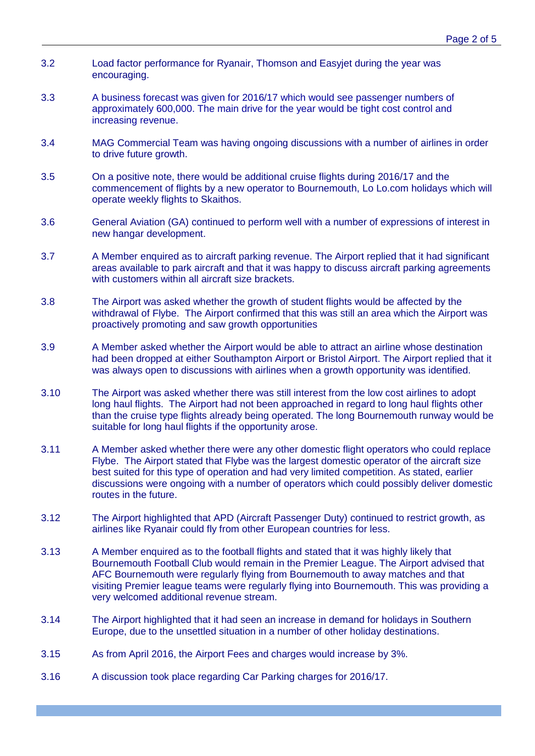- 3.2 Load factor performance for Ryanair, Thomson and Easyjet during the year was encouraging.
- 3.3 A business forecast was given for 2016/17 which would see passenger numbers of approximately 600,000. The main drive for the year would be tight cost control and increasing revenue.
- 3.4 MAG Commercial Team was having ongoing discussions with a number of airlines in order to drive future growth.
- 3.5 On a positive note, there would be additional cruise flights during 2016/17 and the commencement of flights by a new operator to Bournemouth, Lo Lo.com holidays which will operate weekly flights to Skaithos.
- 3.6 General Aviation (GA) continued to perform well with a number of expressions of interest in new hangar development.
- 3.7 A Member enquired as to aircraft parking revenue. The Airport replied that it had significant areas available to park aircraft and that it was happy to discuss aircraft parking agreements with customers within all aircraft size brackets.
- 3.8 The Airport was asked whether the growth of student flights would be affected by the withdrawal of Flybe. The Airport confirmed that this was still an area which the Airport was proactively promoting and saw growth opportunities
- 3.9 A Member asked whether the Airport would be able to attract an airline whose destination had been dropped at either Southampton Airport or Bristol Airport. The Airport replied that it was always open to discussions with airlines when a growth opportunity was identified.
- 3.10 The Airport was asked whether there was still interest from the low cost airlines to adopt long haul flights. The Airport had not been approached in regard to long haul flights other than the cruise type flights already being operated. The long Bournemouth runway would be suitable for long haul flights if the opportunity arose.
- 3.11 A Member asked whether there were any other domestic flight operators who could replace Flybe. The Airport stated that Flybe was the largest domestic operator of the aircraft size best suited for this type of operation and had very limited competition. As stated, earlier discussions were ongoing with a number of operators which could possibly deliver domestic routes in the future.
- 3.12 The Airport highlighted that APD (Aircraft Passenger Duty) continued to restrict growth, as airlines like Ryanair could fly from other European countries for less.
- 3.13 A Member enquired as to the football flights and stated that it was highly likely that Bournemouth Football Club would remain in the Premier League. The Airport advised that AFC Bournemouth were regularly flying from Bournemouth to away matches and that visiting Premier league teams were regularly flying into Bournemouth. This was providing a very welcomed additional revenue stream.
- 3.14 The Airport highlighted that it had seen an increase in demand for holidays in Southern Europe, due to the unsettled situation in a number of other holiday destinations.
- 3.15 As from April 2016, the Airport Fees and charges would increase by 3%.
- 3.16 A discussion took place regarding Car Parking charges for 2016/17.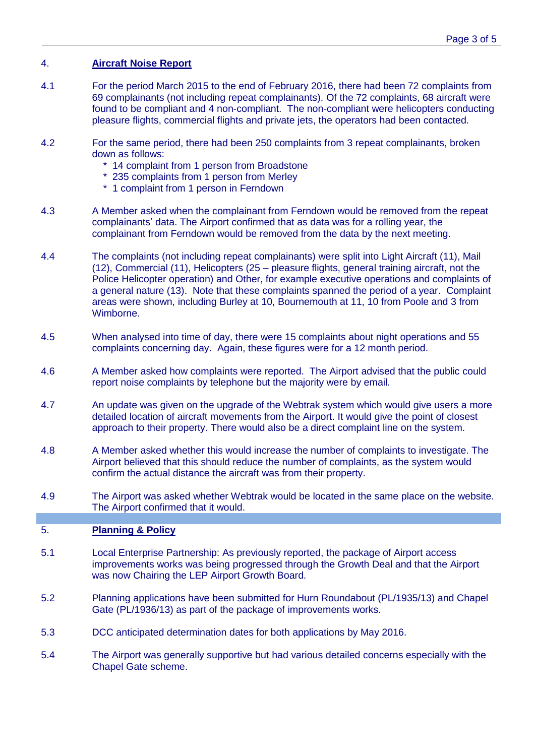## 4. **Aircraft Noise Report**

- 4.1 For the period March 2015 to the end of February 2016, there had been 72 complaints from 69 complainants (not including repeat complainants). Of the 72 complaints, 68 aircraft were found to be compliant and 4 non-compliant. The non-compliant were helicopters conducting pleasure flights, commercial flights and private jets, the operators had been contacted.
- 4.2 For the same period, there had been 250 complaints from 3 repeat complainants, broken down as follows:
	- \* 14 complaint from 1 person from Broadstone
	- \* 235 complaints from 1 person from Merley
	- \* 1 complaint from 1 person in Ferndown
- 4.3 A Member asked when the complainant from Ferndown would be removed from the repeat complainants' data. The Airport confirmed that as data was for a rolling year, the complainant from Ferndown would be removed from the data by the next meeting.
- 4.4 The complaints (not including repeat complainants) were split into Light Aircraft (11), Mail (12), Commercial (11), Helicopters (25 – pleasure flights, general training aircraft, not the Police Helicopter operation) and Other, for example executive operations and complaints of a general nature (13). Note that these complaints spanned the period of a year. Complaint areas were shown, including Burley at 10, Bournemouth at 11, 10 from Poole and 3 from Wimborne.
- 4.5 When analysed into time of day, there were 15 complaints about night operations and 55 complaints concerning day. Again, these figures were for a 12 month period.
- 4.6 A Member asked how complaints were reported. The Airport advised that the public could report noise complaints by telephone but the majority were by email.
- 4.7 An update was given on the upgrade of the Webtrak system which would give users a more detailed location of aircraft movements from the Airport. It would give the point of closest approach to their property. There would also be a direct complaint line on the system.
- 4.8 A Member asked whether this would increase the number of complaints to investigate. The Airport believed that this should reduce the number of complaints, as the system would confirm the actual distance the aircraft was from their property.
- 4.9 The Airport was asked whether Webtrak would be located in the same place on the website. The Airport confirmed that it would.

### 5. **Planning & Policy**

- 5.1 Local Enterprise Partnership: As previously reported, the package of Airport access improvements works was being progressed through the Growth Deal and that the Airport was now Chairing the LEP Airport Growth Board.
- 5.2 Planning applications have been submitted for Hurn Roundabout (PL/1935/13) and Chapel Gate (PL/1936/13) as part of the package of improvements works.
- 5.3 DCC anticipated determination dates for both applications by May 2016.
- 5.4 The Airport was generally supportive but had various detailed concerns especially with the Chapel Gate scheme.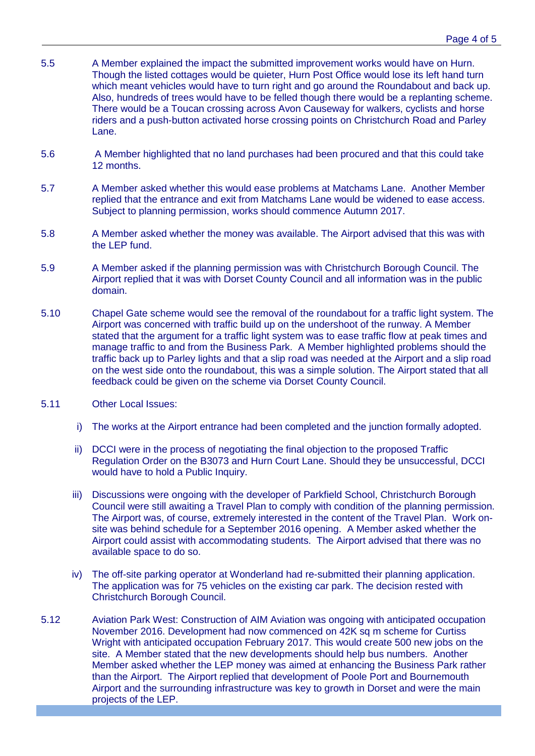- 5.5 A Member explained the impact the submitted improvement works would have on Hurn. Though the listed cottages would be quieter, Hurn Post Office would lose its left hand turn which meant vehicles would have to turn right and go around the Roundabout and back up. Also, hundreds of trees would have to be felled though there would be a replanting scheme. There would be a Toucan crossing across Avon Causeway for walkers, cyclists and horse riders and a push-button activated horse crossing points on Christchurch Road and Parley Lane.
- 5.6 A Member highlighted that no land purchases had been procured and that this could take 12 months.
- 5.7 A Member asked whether this would ease problems at Matchams Lane. Another Member replied that the entrance and exit from Matchams Lane would be widened to ease access. Subject to planning permission, works should commence Autumn 2017.
- 5.8 A Member asked whether the money was available. The Airport advised that this was with the LEP fund.
- 5.9 A Member asked if the planning permission was with Christchurch Borough Council. The Airport replied that it was with Dorset County Council and all information was in the public domain.
- 5.10 Chapel Gate scheme would see the removal of the roundabout for a traffic light system. The Airport was concerned with traffic build up on the undershoot of the runway. A Member stated that the argument for a traffic light system was to ease traffic flow at peak times and manage traffic to and from the Business Park. A Member highlighted problems should the traffic back up to Parley lights and that a slip road was needed at the Airport and a slip road on the west side onto the roundabout, this was a simple solution. The Airport stated that all feedback could be given on the scheme via Dorset County Council.
- 5.11 Other Local Issues:
	- i) The works at the Airport entrance had been completed and the junction formally adopted.
	- ii) DCCI were in the process of negotiating the final objection to the proposed Traffic Regulation Order on the B3073 and Hurn Court Lane. Should they be unsuccessful, DCCI would have to hold a Public Inquiry.
	- iii) Discussions were ongoing with the developer of Parkfield School, Christchurch Borough Council were still awaiting a Travel Plan to comply with condition of the planning permission. The Airport was, of course, extremely interested in the content of the Travel Plan. Work onsite was behind schedule for a September 2016 opening. A Member asked whether the Airport could assist with accommodating students. The Airport advised that there was no available space to do so.
	- iv) The off-site parking operator at Wonderland had re-submitted their planning application. The application was for 75 vehicles on the existing car park. The decision rested with Christchurch Borough Council.
- 5.12 Aviation Park West: Construction of AIM Aviation was ongoing with anticipated occupation November 2016. Development had now commenced on 42K sq m scheme for Curtiss Wright with anticipated occupation February 2017. This would create 500 new jobs on the site. A Member stated that the new developments should help bus numbers. Another Member asked whether the LEP money was aimed at enhancing the Business Park rather than the Airport. The Airport replied that development of Poole Port and Bournemouth Airport and the surrounding infrastructure was key to growth in Dorset and were the main projects of the LEP.